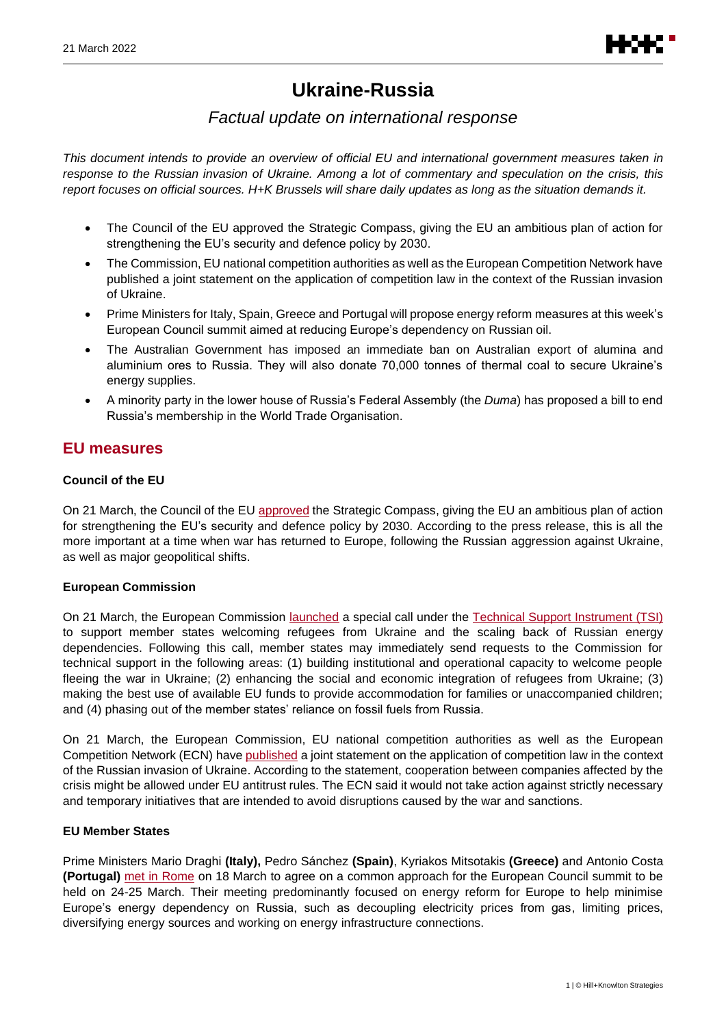# **Ukraine-Russia**

# *Factual update on international response*

*This document intends to provide an overview of official EU and international government measures taken in response to the Russian invasion of Ukraine. Among a lot of commentary and speculation on the crisis, this report focuses on official sources. H+K Brussels will share daily updates as long as the situation demands it.*

- The Council of the EU approved the Strategic Compass, giving the EU an ambitious plan of action for strengthening the EU's security and defence policy by 2030.
- The Commission, EU national competition authorities as well as the European Competition Network have published a joint statement on the application of competition law in the context of the Russian invasion of Ukraine.
- Prime Ministers for Italy, Spain, Greece and Portugal will propose energy reform measures at this week's European Council summit aimed at reducing Europe's dependency on Russian oil.
- The Australian Government has imposed an immediate ban on Australian export of alumina and aluminium ores to Russia. They will also donate 70,000 tonnes of thermal coal to secure Ukraine's energy supplies.
- A minority party in the lower house of Russia's Federal Assembly (the *Duma*) has proposed a bill to end Russia's membership in the World Trade Organisation.

# **EU measures**

## **Council of the EU**

On 21 March, the Council of the EU [approved](https://www.consilium.europa.eu/en/press/press-releases/2022/03/21/a-strategic-compass-for-a-stronger-eu-security-and-defence-in-the-next-decade/) the Strategic Compass, giving the EU an ambitious plan of action for strengthening the EU's security and defence policy by 2030. According to the press release, this is all the more important at a time when war has returned to Europe, following the Russian aggression against Ukraine, as well as major geopolitical shifts.

## **European Commission**

On 21 March, the European Commission [launched](https://ec.europa.eu/commission/presscorner/detail/en/ip_22_1867) a special call under the [Technical Support Instrument \(TSI\)](https://ec.europa.eu/info/overview-funding-programmes/technical-support-instrument-tsi_en) to support member states welcoming refugees from Ukraine and the scaling back of Russian energy dependencies. Following this call, member states may immediately send requests to the Commission for technical support in the following areas: (1) building institutional and operational capacity to welcome people fleeing the war in Ukraine; (2) enhancing the social and economic integration of refugees from Ukraine; (3) making the best use of available EU funds to provide accommodation for families or unaccompanied children; and (4) phasing out of the member states' reliance on fossil fuels from Russia.

On 21 March, the European Commission, EU national competition authorities as well as the European Competition Network (ECN) have [published](https://ec.europa.eu/neighbourhood-enlargement/news/competition-ecn-authorities-statement-application-competition-law-context-russian-invasion-ukraine-2022-03-21_en) a joint statement on the application of competition law in the context of the Russian invasion of Ukraine. According to the statement, cooperation between companies affected by the crisis might be allowed under EU antitrust rules. The ECN said it would not take action against strictly necessary and temporary initiatives that are intended to avoid disruptions caused by the war and sanctions.

## **EU Member States**

Prime Ministers Mario Draghi **(Italy),** Pedro Sánchez **(Spain)**, Kyriakos Mitsotakis **(Greece)** and Antonio Costa **(Portugal)** [met in Rome](https://www.youtube.com/watch?v=HctOZr25rUE) on 18 March to agree on a common approach for the European Council summit to be held on 24-25 March. Their meeting predominantly focused on energy reform for Europe to help minimise Europe's energy dependency on Russia, such as decoupling electricity prices from gas, limiting prices, diversifying energy sources and working on energy infrastructure connections.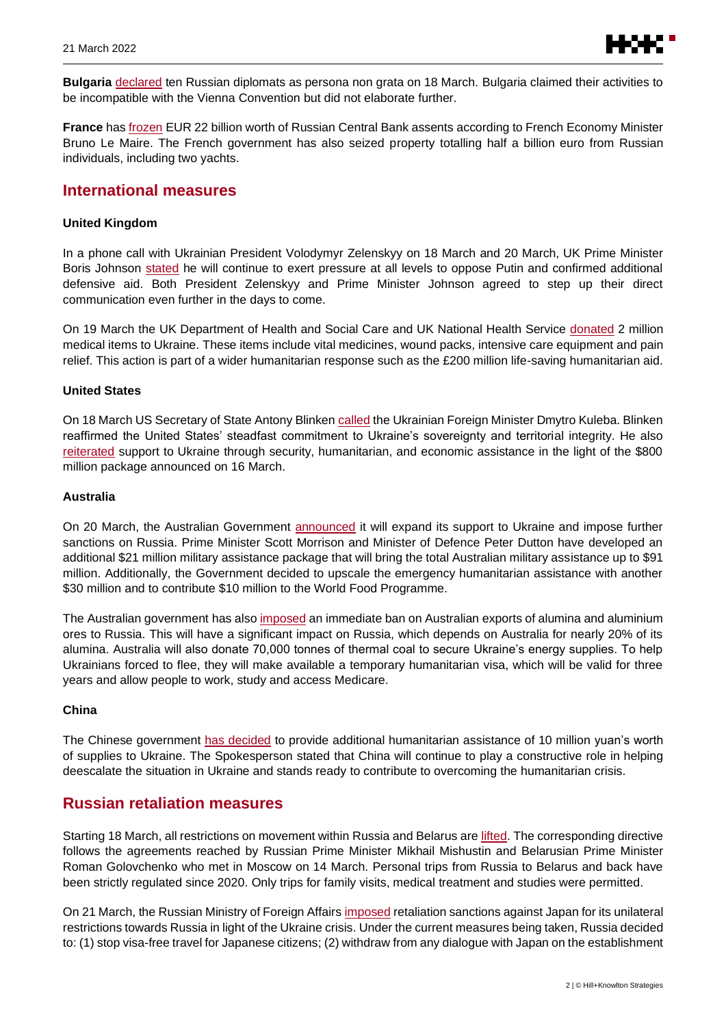

**Bulgaria** declared ten Russian diplomats as persona non grata on 18 March. Bulgaria claimed their activities to be inco[mpatible wit](https://www.mfa.bg/bg/news/33331)h the Vienna Convention but did not elaborate further.

**France** ha[s frozen](https://www.tf1info.fr/replay-lci/video-le-grand-jury-du-20-mars-2022-2214110.html) EUR 22 billion worth of Russian Central Bank assents according to French Economy Minister Bruno Le Maire. The French government has also seized property totalling half a billion euro from Russian individuals, including two yachts.

# **International measures**

#### **United Kingdom**

In a phone call with Ukrainian President Volodymyr Zelenskyy on 18 March and 20 March, UK Prime Minister Boris Johnson [stated](https://www.gov.uk/government/news/pm-call-with-president-zelenskyy-of-ukraine-18-march-2022) he will continue to exert pressure at all levels to oppose Putin and confirmed additional defensive aid. Both President Zelenskyy and Prime Minister Johnson agreed to step up their direct communication even further in the days to come.

On 19 March the UK Department of Health and Social Care and UK National Health Service [donated](https://www.gov.uk/government/news/uk-donates-two-million-medical-items-to-ukraine) 2 million medical items to Ukraine. These items include vital medicines, wound packs, intensive care equipment and pain relief. This action is part of a wider humanitarian response such as the £200 million life-saving humanitarian aid.

#### **United States**

On 18 March US Secretary of State Antony Blinken [called](https://www.state.gov/secretary-blinkens-call-with-ukrainian-foreign-minister-kuleba-18/) the Ukrainian Foreign Minister Dmytro Kuleba. Blinken reaffirmed the United States' steadfast commitment to Ukraine's sovereignty and territorial integrity. He also [reiterated](https://www.state.gov/secretary-antony-j-blinken-roundtable-with-journalists/) support to Ukraine through security, humanitarian, and economic assistance in the light of the \$800 million package announced on 16 March.

#### **Australia**

On 20 March, the Australian Government [announced](https://www.pm.gov.au/media/additional-support-ukraine) it will expand its support to Ukraine and impose further sanctions on Russia. Prime Minister Scott Morrison and Minister of Defence Peter Dutton have developed an additional \$21 million military assistance package that will bring the total Australian military assistance up to \$91 million. Additionally, the Government decided to upscale the emergency humanitarian assistance with another \$30 million and to contribute \$10 million to the World Food Programme.

The Australian government has also [imposed](https://www.pm.gov.au/media/additional-support-ukraine) an immediate ban on Australian exports of alumina and aluminium ores to Russia. This will have a significant impact on Russia, which depends on Australia for nearly 20% of its alumina. Australia will also donate 70,000 tonnes of thermal coal to secure Ukraine's energy supplies. To help Ukrainians forced to flee, they will make available a temporary humanitarian visa, which will be valid for three years and allow people to work, study and access Medicare.

## **China**

The Chinese government [has decided](https://www.fmprc.gov.cn/mfa_eng/xwfw_665399/s2510_665401/202203/t20220321_10653815.html) to provide additional humanitarian assistance of 10 million yuan's worth of supplies to Ukraine. The Spokesperson stated that China will continue to play a constructive role in helping deescalate the situation in Ukraine and stands ready to contribute to overcoming the humanitarian crisis.

# **Russian retaliation measures**

Starting 18 March, all restrictions on movement within Russia and Belarus ar[e lifted.](http://government.ru/en/docs/44839/) The corresponding directive follows the agreements reached by Russian Prime Minister Mikhail Mishustin and Belarusian Prime Minister Roman Golovchenko who met in Moscow on 14 March. Personal trips from Russia to Belarus and back have been strictly regulated since 2020. Only trips for family visits, medical treatment and studies were permitted.

On 21 March, the Russian Ministry of Foreign Affair[s imposed](https://mid.ru/ru/foreign_policy/news/1805541/) retaliation sanctions against Japan for its unilateral restrictions towards Russia in light of the Ukraine crisis. Under the current measures being taken, Russia decided to: (1) stop visa-free travel for Japanese citizens; (2) withdraw from any dialogue with Japan on the establishment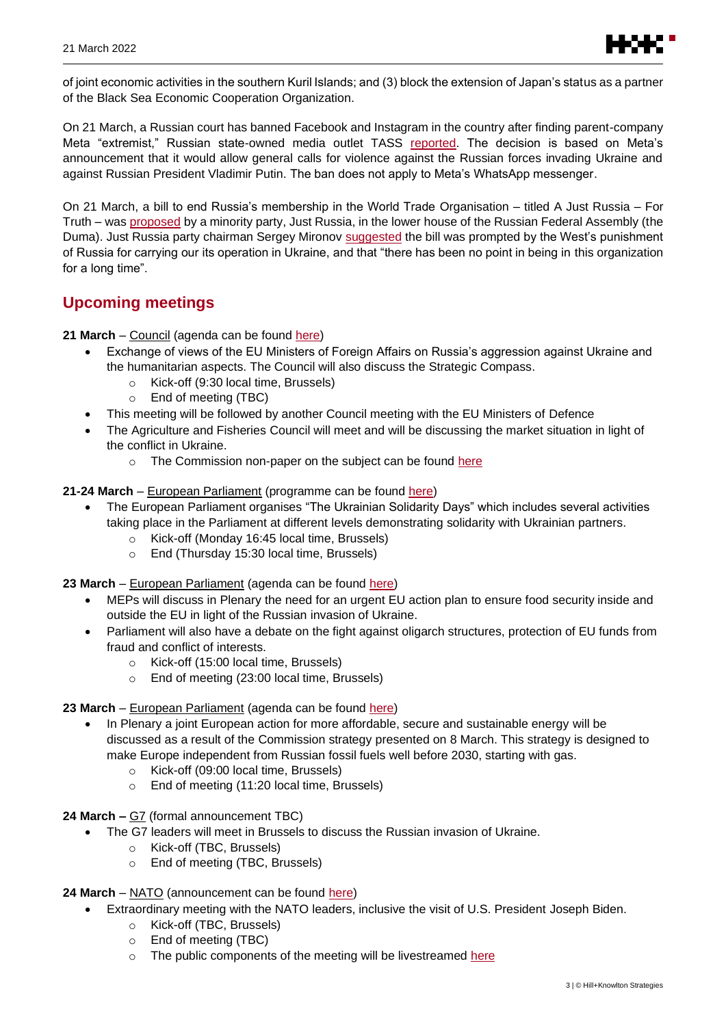

of joint economic activities in the southern Kuril Islands; and (3) block the extension of Japan's status as a partner of the Black Sea Economic Cooperation Organization.

On 21 March, a Russian court has banned Facebook and Instagram in the country after finding parent-company Meta "extremist," Russian state-owned media outlet TASS [reported.](https://tass.com/economy/1425179) The decision is based on Meta's announcement that it would allow general calls for violence against the Russian forces invading Ukraine and against Russian President Vladimir Putin. The ban does not apply to Meta's WhatsApp messenger.

On 21 March, a bill to end Russia's membership in the World Trade Organisation – titled A Just Russia – For Truth – was [proposed](https://sozd.duma.gov.ru/bill/91393-8) by a minority party, Just Russia, in the lower house of the Russian Federal Assembly (the Duma). Just Russia party chairman Sergey Mironov [suggested](https://spravedlivo.ru/11925510) the bill was prompted by the West's punishment of Russia for carrying our its operation in Ukraine, and that "there has been no point in being in this organization for a long time".

# **Upcoming meetings**

**21 March** – Council (agenda can be found [here\)](https://www.consilium.europa.eu/en/meetings/fac/2022/03/21/)

- Exchange of views of the EU Ministers of Foreign Affairs on Russia's aggression against Ukraine and the humanitarian aspects. The Council will also discuss the Strategic Compass.
	- o Kick-off (9:30 local time, Brussels)
	- o End of meeting (TBC)
- This meeting will be followed by another Council meeting with the EU Ministers of Defence
- The Agriculture and Fisheries Council will meet and will be discussing the market situation in light of the conflict in Ukraine.
	- o The Commission non-paper on the subject can be found [here](https://data.consilium.europa.eu/doc/document/ST-7099-2022-INIT/en/pdf)
- **21-24 March** European Parliament (programme can be found [here\)](https://www.europarl.europa.eu/resources/library/media/20220318RES25815/20220318RES25815.pdf)
	- The European Parliament organises "The Ukrainian Solidarity Days" which includes several activities taking place in the Parliament at different levels demonstrating solidarity with Ukrainian partners.
		- o Kick-off (Monday 16:45 local time, Brussels)
		- o End (Thursday 15:30 local time, Brussels)
- 23 March European Parliament (agenda can be found [here\)](https://www.europarl.europa.eu/sedcms/documents/PRIORITY_INFO/504/SYN_PDOJ_March%20II_BRUb_EN.pdf)
	- MEPs will discuss in Plenary the need for an urgent EU action plan to ensure food security inside and outside the EU in light of the Russian invasion of Ukraine.
	- Parliament will also have a debate on the fight against oligarch structures, protection of EU funds from fraud and conflict of interests.
		- o Kick-off (15:00 local time, Brussels)
		- o End of meeting (23:00 local time, Brussels)
- 23 March European Parliament (agenda can be found [here\)](https://www.europarl.europa.eu/sedcms/documents/PRIORITY_INFO/504/SYN_PDOJ_March%20II_BRUb_EN.pdf)
	- In Plenary a joint European action for more affordable, secure and sustainable energy will be discussed as a result of the Commission strategy presented on 8 March. This strategy is designed to make Europe independent from Russian fossil fuels well before 2030, starting with gas.
		- o Kick-off (09:00 local time, Brussels)
		- o End of meeting (11:20 local time, Brussels)
- **24 March –** G7 (formal announcement TBC)
	- The G7 leaders will meet in Brussels to discuss the Russian invasion of Ukraine.
		- o Kick-off (TBC, Brussels)
		- o End of meeting (TBC, Brussels)
- **24 March** NATO (announcement can be found [here\)](https://www.nato.int/cps/en/natohq/news_193325.htm?selectedLocale=en&mode=pressrelease)
	- Extraordinary meeting with the NATO leaders, inclusive the visit of U.S. President Joseph Biden.
		- o Kick-off (TBC, Brussels)
		- o End of meeting (TBC)
		- o The public components of the meeting will be livestreamed [here](http://www.nato.int/)